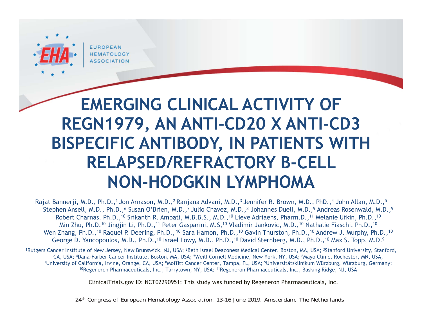**FUROPEAN** 

# **EMERGING CLINICAL ACTIVITY OF REGN1979, AN ANTI-CD20 X ANTI-CD3 BISPECIFIC ANTIBODY, IN PATIENTS WITH RELAPSED/REFRACTORY B-CELL NON-HODGKIN LYMPHOMA**

Rajat Bannerji, M.D., Ph.D.,<sup>1</sup> Jon Arnason, M.D.,<sup>2</sup> Ranjana Advani, M.D.,<sup>3</sup> Jennifer R. Brown, M.D., PhD.,<sup>4</sup> John Allan, M.D.,<sup>5</sup> Stephen Ansell, M.D., Ph.D.,<sup>6</sup> Susan O'Brien, M.D.,<sup>7</sup> Julio Chavez, M.D.,<sup>8</sup> Johannes Duell, M.D.,<sup>9</sup> Andreas Rosenwald, M.D.,<sup>9</sup> Robert Charnas. Ph.D.,<sup>10</sup> Srikanth R. Ambati, M.B.B.S., M.D.,<sup>10</sup> Lieve Adriaens, Pharm.D.,<sup>11</sup> Melanie Ufkin, Ph.D.,<sup>10</sup> Min Zhu, Ph.D.<sup>10</sup> Jingjin Li, Ph.D.,<sup>11</sup> Peter Gasparini, M.S.<sup>10</sup> Vladimir Jankovic, M.D.,<sup>10</sup> Nathalie Fiaschi, Ph.D.,<sup>10</sup> Wen Zhang, Ph.D.,<sup>10</sup> Raquel P. Deering, Ph.D., <sup>10</sup> Sara Hamon, Ph.D., <sup>10</sup> Gavin Thurston, Ph.D., <sup>10</sup> Andrew J. Murphy, Ph.D., <sup>10</sup> George D. Yancopoulos, M.D., Ph.D.,<sup>10</sup> Israel Lowy, M.D., Ph.D.,<sup>10</sup> David Sternberg, M.D., Ph.D.,<sup>10</sup> Max S. Topp, M.D.<sup>9</sup>

<sup>1</sup>Rutgers Cancer Institute of New Jersey, New Brunswick, NJ, USA; <sup>2</sup>Beth Israel Deaconess Medical Center, Boston, MA, USA; <sup>3</sup>Stanford University, Stanford, CA, USA; 4Dana-Farber Cancer Institute, Boston, MA, USA; 5Weill Cornell Medicine, New York, NY, USA; 6Mayo Clinic, Rochester, MN, USA; 7University of California, Irvine, Orange, CA, USA; 8Moffitt Cancer Center, Tampa, FL, USA; 9Universitätsklinikum Würzburg, Würzburg, Germany; 10Regeneron Pharmaceuticals, Inc., Tarrytown, NY, USA; <sup>11</sup>Regeneron Pharmaceuticals, Inc., Basking Ridge, NJ, USA

ClinicalTrials.gov ID: NCT02290951; This study was funded by Regeneron Pharmaceuticals, Inc.

*24th Congress of European Hematology Association, 13–16 June 2019, Amsterdam, The Netherlands*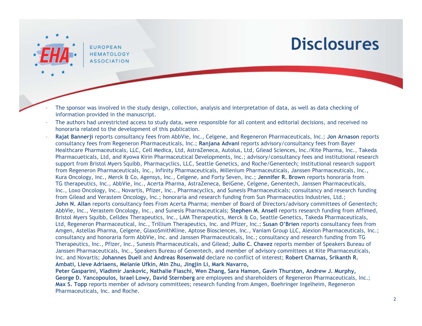**FUROPFAN** HEMATOLOGY **ASSOCIATION** 

## **Disclosures**

- The sponsor was involved in the study design, collection, analysis and interpretation of data, as well as data checking of information provided in the manuscript.
- The authors had unrestricted access to study data, were responsible for all content and editorial decisions, and received no honoraria related to the development of this publication.
- **Rajat Bannerji** reports consultancy fees from AbbVie, Inc., Celgene, and Regeneron Pharmaceuticals, Inc.; **Jon Arnason** reports consultancy fees from Regeneron Pharmaceuticals, Inc.; **Ranjana Advani** reports advisory/consultancy fees from Bayer Healthcare Pharmaceuticals, LLC, Cell Medica, Ltd, AstraZeneca, Autolus, Ltd, Gilead Sciences, Inc./Kite Pharma, Inc., Takeda Pharmacueticals, Ltd, and Kyowa Kirin Pharmaceutical Developments, Inc.; advisory/consultancy fees and institutional research support from Bristol Myers Squibb, Pharmacyclics, LLC, Seattle Genetics, and Roche/Genentech; institutional research support from Regeneron Pharmaceuticals, Inc., Infinity Pharmaceuticals, Millenium Pharmaceuticals, Janssen Pharmaceuticals, Inc., Kura Oncology, Inc., Merck & Co, Agensys, Inc., Celgene, and Forty Seven, Inc.; **Jennifer R. Brown** reports honoraria from TG therapeutics, Inc., AbbVie, Inc., Acerta Pharma, AstraZeneca, BeiGene, Celgene, Genentech, Janssen Pharmaceuticals, Inc., Loxo Oncology, Inc., Novartis, Pfizer, Inc., Pharmacyclics, and Sunesis Pharmaceuticals; consultancy and research funding from Gilead and Verastem Oncology, Inc.; honoraria and research funding from Sun Pharmaceutics Industries, Ltd.; **John N. Allan** reports consultancy fees From Acerta Pharma; member of Board of Directors/advisory committees of Genentech; AbbVie, Inc., Verastem Oncology, Inc., and Sunesis Pharmaceuticals; **Stephen M. Ansell** reports research funding from Affimed, Bristol Myers Squibb, Celldex Therapeutics, Inc., LAM Therapeutics, Merck & Co, Seattle Genetics, Takeda Pharmaceuticals, Ltd, Regeneron Pharmaceutical, Inc., Trillium Therapeutics, Inc. and Pfizer, Inc.; **Susan O'Brien** reports consultancy fees from Amgen, Astellas Pharma, Celgene, GlaxoSmithKline, Aptose Biosciences, Inc., Vaniam Group LLC, Alexion Pharmaceuticals, Inc.; consultancy and honoraria form AbbVie, Inc. and Janssen Pharmaceuticals, Inc.; consultancy and research funding from TG Therapeutics, Inc., Pfizer, Inc., Sunesis Pharmaceuticals, and Gilead; **Julio C. Chavez** reports member of Speakers Bureau of Janssen Pharmaceuticals, Inc., Speakers Bureau of Genentech, and member of advisory committees at Kite Pharmaceuticals, Inc. and Novartis; **Johannes Duell** and **Andreas Rosenwald** declare no conflict of interest; **Robert Charnas, Srikanth R. Ambati, Lieve Adriaens, Melanie Ufkin, Min Zhu, Jingjin Li, Mark Navarro,**

**Peter Gasparini, Vladimir Jankovic, Nathalie Fiaschi, Wen Zhang, Sara Hamon, Gavin Thurston, Andrew J. Murphy, George D. Yancopoulos, Israel Lowy, David Sternberg** are employees and shareholders of Regeneron Pharmaceuticals, Inc.; **Max S. Topp** reports member of advisory committees; research funding from Amgen, Boehringer Ingelheim, Regeneron Pharmaceuticals, Inc. and Roche.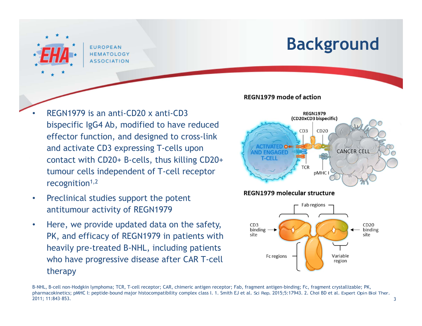**FUROPFAN HEMATOLOGY** *ISSOCIATION* 

# **Background**

- • REGN1979 is an anti-CD20 x anti-CD3 bispecific IgG4 Ab, modified to have reduced effector function, and designed to cross-link and activate CD3 expressing T-cells upon contact with CD20+ B-cells, thus killing CD20+ tumour cells independent of T-cell receptor recognition<sup>1,2</sup>
- • Preclinical studies support the potent antitumour activity of REGN1979
- • Here, we provide updated data on the safety, PK, and efficacy of REGN1979 in patients with heavily pre-treated B-NHL, including patients who have progressive disease after CAR T-cell therapy

#### **REGN1979 mode of action**







B-NHL, B-cell non-Hodgkin lymphoma; TCR, T-cell receptor; CAR, chimeric antigen receptor; Fab, fragment antigen-binding; Fc, fragment crystallizable; PK, pharmacokinetics; pMHC I: peptide-bound major histocompatibility complex class I. 1. Smith EJ et al. *Sci Rep*. 2015;5:17943. 2. Choi BD et al. *Expert Opin Biol Ther*. 2011; 11:843–853.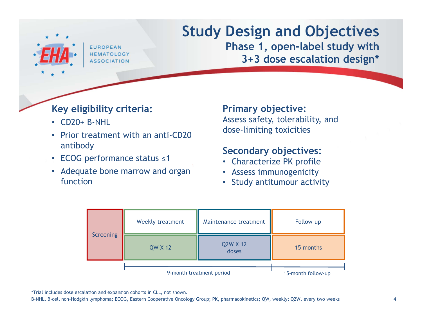**FUROPFAN HEMATOLOGY** 

# **Study Design and Objectives**

**Phase 1, open-label study with 3+3 dose escalation design\*** 

## **Key eligibility criteria:**

- CD20+ B-NHL
- Prior treatment with an anti-CD20 antibody
- •ECOG performance status ≤1
- Adequate bone marrow and organ function

## **Primary objective:**

Assess safety, tolerability, and dose-limiting toxicities

## **Secondary objectives:**

- •Characterize PK profile
- •Assess immunogenicity
- Study antitumour activity



\*Trial includes dose escalation and expansion cohorts in CLL, not shown.

B-NHL, B-cell non-Hodgkin lymphoma; ECOG, Eastern Cooperative Oncology Group; PK, pharmacokinetics; QW, weekly; Q2W, every two weeks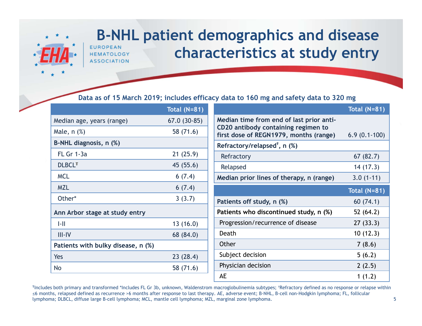#### **B-NHL patient demographics and disease FUROPFAN characteristics at study entry** HEMATOLOGY

#### **Data as of 15 March 2019; includes efficacy data to 160 mg and safety data to 320 mg**

|                                    | Total $(N=81)$ |                                                                               | Total $(N=81)$ |
|------------------------------------|----------------|-------------------------------------------------------------------------------|----------------|
| Median age, years (range)          | $67.0(30-85)$  | Median time from end of last prior anti-                                      |                |
| Male, $n$ $%$                      | 58 (71.6)      | CD20 antibody containing regimen to<br>first dose of REGN1979, months (range) | $6.9(0.1-100)$ |
| B-NHL diagnosis, n (%)             |                | Refractory/relapsed <sup><math>\uparrow</math></sup> , n (%)                  |                |
| <b>FL Gr 1-3a</b>                  | 21(25.9)       | Refractory                                                                    | 67(82.7)       |
| <b>DLBCL<sup>F</sup></b>           | 45(55.6)       | Relapsed                                                                      | 14(17.3)       |
| <b>MCL</b>                         | 6(7.4)         | Median prior lines of therapy, n (range)                                      | $3.0(1-11)$    |
| <b>MZL</b>                         | 6(7.4)         |                                                                               | Total $(N=81)$ |
| Other*                             | 3(3.7)         | Patients off study, n (%)                                                     | 60(74.1)       |
| Ann Arbor stage at study entry     |                | Patients who discontinued study, n (%)                                        | 52(64.2)       |
| $\left\  - \right\ $               | 13(16.0)       | Progression/recurrence of disease                                             | 27(33.3)       |
| $III - IV$                         | 68 (84.0)      | Death                                                                         | 10(12.3)       |
| Patients with bulky disease, n (%) |                | Other                                                                         | 7(8.6)         |
| Yes                                | 23(28.4)       | Subject decision                                                              | 5(6.2)         |
| <b>No</b>                          | 58 (71.6)      | Physician decision                                                            | 2(2.5)         |
|                                    |                | AE                                                                            | 1(1.2)         |

<sup>Ŧ</sup>Includes both primary and transformed \*Includes FL Gr 3b, unknown, Waldenstrom macroglobulinemia subtypes; ϮRefractory defined as no response or relapse within ≤6 months, relapsed defined as recurrence >6 months after response to last therapy. AE, adverse event; B-NHL, B-cell non-Hodgkin lymphoma; FL, follicular lymphoma; DLBCL, diffuse large B-cell lymphoma; MCL, mantle cell lymphoma; MZL, marginal zone lymphoma.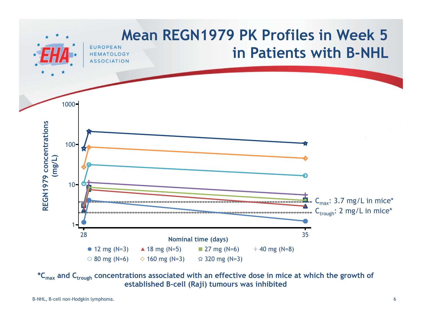

**\*Cmax and Ctrough concentrations associated with an effective dose in mice at which the growth of established B-cell (Raji) tumours was inhibited**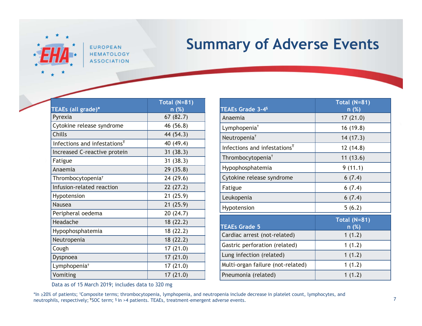**EUROPEAN HEMATOLOGY ASSOCIATION** 

## **Summary of Adverse Events**

|                                          | <b>Total (N=81)</b> |
|------------------------------------------|---------------------|
| TEAEs (all grade)*                       | n (%)               |
| Pyrexia                                  | 67(82.7)            |
| Cytokine release syndrome                | 46 (56.8)           |
| <b>Chills</b>                            | 44 (54.3)           |
| Infections and infestations <sup>T</sup> | 40 (49.4)           |
| Increased C-reactive protein             | 31(38.3)            |
| Fatigue                                  | 31(38.3)            |
| Anaemia                                  | 29(35.8)            |
| Thrombocytopenia <sup>t</sup>            | 24 (29.6)           |
| Infusion-related reaction                | 22(27.2)            |
| Hypotension                              | 21(25.9)            |
| <b>Nausea</b>                            | 21(25.9)            |
| Peripheral oedema                        | 20(24.7)            |
| Headache                                 | 18 (22.2)           |
| Hypophosphatemia                         | 18 (22.2)           |
| Neutropenia                              | 18 (22.2)           |
| Cough                                    | 17(21.0)            |
| Dyspnoea                                 | 17(21.0)            |
| Lymphopenia <sup>†</sup>                 | 17(21.0)            |
| Vomiting                                 | 17(21.0)            |

| <b>TEAEs Grade 3-4<sup>§</sup></b>       | <b>Total (N=81)</b><br>n (%) |
|------------------------------------------|------------------------------|
| Anaemia                                  | 17(21.0)                     |
| Lymphopenia $†$                          | 16 (19.8)                    |
| Neutropenia <sup>†</sup>                 | 14(17.3)                     |
| Infections and infestations <sup>†</sup> | 12 (14.8)                    |
| Thrombocytopenia <sup>†</sup>            | 11(13.6)                     |
| Hypophosphatemia                         | 9(11.1)                      |
| Cytokine release syndrome                | 6(7.4)                       |
| Fatigue                                  | 6(7.4)                       |
| Leukopenia                               | 6(7.4)                       |
| Hypotension                              | 5(6.2)                       |
| <b>TEAEs Grade 5</b>                     | <b>Total (N=81)</b><br>n (%) |
| Cardiac arrest (not-related)             | 1(1.2)                       |
| Gastric perforation (related)            | 1(1.2)                       |
| Lung infection (related)                 | 1(1.2)                       |
| Multi-organ failure (not-related)        | 1(1.2)                       |
| Pneumonia (related)                      | 1(1.2)                       |

Data as of 15 March 2019; includes data to 320 mg

\*In ≥20% of patients; <sup>Ϯ</sup>Composite terms; thrombocytopenia, lymphopenia, and neutropenia include decrease in platelet count, lymphocytes, and neutrophils, respectively; <sup>†</sup>SOC term; <sup>§</sup> in >4 patients. TEAEs, treatment-emergent adverse events.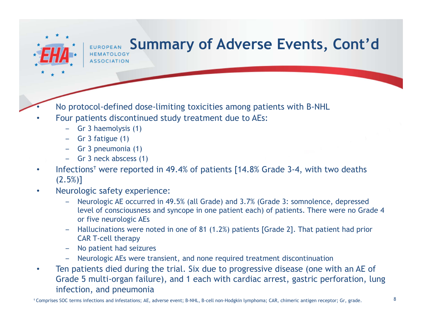**Summary of Adverse Events, Cont'd FUROPEAN** 

- No protocol-defined dose-limiting toxicities among patients with B-NHL
- • Four patients discontinued study treatment due to AEs:
	- ‒ Gr 3 haemolysis (1)
	- ‒ Gr 3 fatigue (1)

•

- ‒ Gr 3 pneumonia (1)
- ‒ Gr 3 neck abscess (1)
- $\bullet$ • Infections<sup>†</sup> were reported in 49.4% of patients [14.8% Grade 3-4, with two deaths  $(2.5\%)$
- • Neurologic safety experience:
	- Neurologic AE occurred in 49.5% (all Grade) and 3.7% (Grade 3: somnolence, depressed level of consciousness and syncope in one patient each) of patients. There were no Grade 4 or five neurologic AEs
	- ‒ Hallucinations were noted in one of 81 (1.2%) patients [Grade 2]. That patient had prior CAR T-cell therapy
	- No patient had seizures
	- Neurologic AEs were transient, and none required treatment discontinuation
- • Ten patients died during the trial. Six due to progressive disease (one with an AE of Grade 5 multi-organ failure), and 1 each with cardiac arrest, gastric perforation, lung infection, and pneumonia

 $^\intercal$  Comprises SOC terms infections and infestations; AE, adverse event; B-NHL, B-cell non-Hodgkin lymphoma; CAR, chimeric antigen receptor; Gr, grade.  $^\intercal$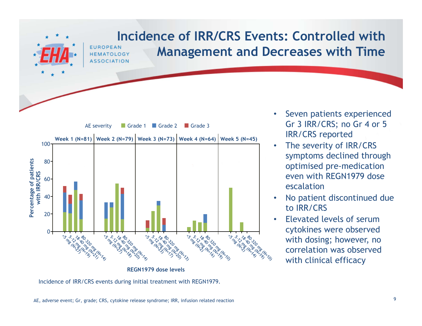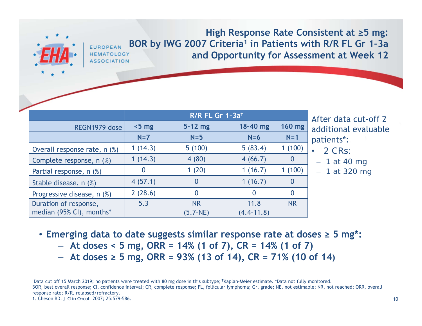FUROPEAN

**High Response Rate Consistent at <sup>≥</sup>5 mg: BOR by IWG 2007 Criteria1 in Patients with R/R FL Gr 1–3a and Opportunity for Assessment at Week 12**

|                                                                            | R/R FL Gr 1-3a <sup>t</sup> |                         |                        |               | Af |
|----------------------------------------------------------------------------|-----------------------------|-------------------------|------------------------|---------------|----|
| REGN1979 dose                                                              | $< 5$ mg                    | $5-12$ mg               | 18-40 mg               | <b>160 mg</b> | ac |
|                                                                            | $N=7$                       | $N=5$                   | $N=6$                  | $N=1$         | Da |
| Overall response rate, n (%)                                               | 1(14.3)                     | 5(100)                  | 5(83.4)                | (100)         |    |
| Complete response, n (%)                                                   | 1(14.3)                     | 4(80)                   | 4(66.7)                | $\bf{0}$      |    |
| Partial response, n (%)                                                    |                             | 1(20)                   | 1(16.7)                | 1(100)        |    |
| Stable disease, n (%)                                                      | 4(57.1)                     | $\overline{0}$          | 1(16.7)                | $\bf{0}$      |    |
| Progressive disease, n (%)                                                 | 2(28.6)                     | $\Omega$                | $\bf{0}$               | $\bf{0}$      |    |
| Duration of response,<br>median (95% CI), months <sup><math>F</math></sup> | 5.3                         | <b>NR</b><br>$(5.7-NE)$ | 11.8<br>$(4.4 - 11.8)$ | <b>NR</b>     |    |

fter data cut-off 2 ditional evaluable atients\*:

- 2 CRs:
- ‒ 1 at 40 mg
- ‒ 1 at 320 mg

- **Emerging data to date suggests similar response rate at doses <sup>≥</sup> 5 mg\*:**
	- ——————— **At doses < 5 mg, ORR = 14% (1 of 7), CR = 14% (1 of 7)**
	- ‒ **At doses <sup>≥</sup> 5 mg, ORR = 93% (13 of 14), CR = 71% (10 of 14)**

<sup>†</sup>Data cut off 15 March 2019; no patients were treated with 80 mg dose in this subtype;<sup>†</sup>Kaplan-Meier estimate. \*Data not fully monitored. BOR, best overall response; CI, confidence interval; CR, complete response; FL, follicular lymphoma; Gr, grade; NE, not estimable; NR, not reached; ORR, overall response rate; R/R, relapsed/refractory. 1. Cheson BD. *J Clin Oncol.* 2007; 25:579-586.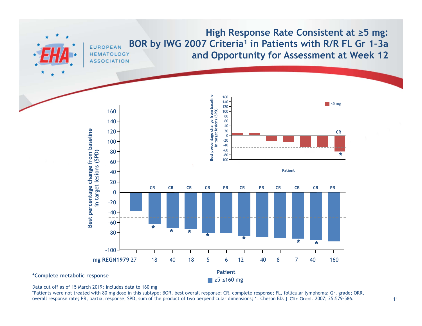

Data cut off as of 15 March 2019; includes data to 160 mg

<sup>Ϯ</sup>Patients were not treated with 80 mg dose in this subtype; BOR, best overall response; CR, complete response; FL, follicular lymphoma; Gr, grade; ORR, overall response rate; PR, partial response; SPD, sum of the product of two perpendicular dimensions; 1. Cheson BD. *J Clin Oncol.* 2007; 25:579-586.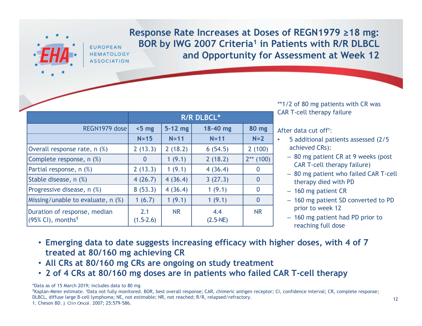**FUROPFAN** 

**Response Rate Increases at Doses of REGN1979 <sup>≥</sup>18 mg:**  BOR by IWG 2007 Criteria<sup>1</sup> in Patients with R/R DLBCL **and Opportunity for Assessment at Week 12**

|                                                                               | <b>R/R DLBCL*</b>  |           |                   |              |
|-------------------------------------------------------------------------------|--------------------|-----------|-------------------|--------------|
| REGN1979 dose                                                                 | $< 5$ mg           | $5-12$ mg | 18-40 mg          | <b>80 mg</b> |
|                                                                               | $N=15$             | $N=11$    | $N = 11$          | $N=2$        |
| Overall response rate, n (%)                                                  | 2(13.3)            | 2(18.2)   | 6(54.5)           | 2(100)       |
| Complete response, n (%)                                                      | $\Omega$           | 1(9.1)    | 2(18.2)           | $2**$ (100)  |
| Partial response, n (%)                                                       | 2(13.3)            | 1(9.1)    | 4(36.4)           | 0            |
| Stable disease, n (%)                                                         | 4(26.7)            | 4(36.4)   | 3(27.3)           | $\bf{0}$     |
| Progressive disease, n (%)                                                    | 8(53.3)            | 4(36.4)   | 1(9.1)            | 0            |
| Missing/unable to evaluate, n (%)                                             | 1(6.7)             | 1(9.1)    | 1(9.1)            | $\bf{0}$     |
| Duration of response, median<br>$(95\%$ CI), months <sup><math>F</math></sup> | 2.1<br>$(1.5-2.6)$ | <b>NR</b> | 4.4<br>$(2.5-NE)$ | <b>NR</b>    |

\*\*1/2 of 80 mg patients with CR was CAR T-cell therapy failure

After data cut off<sup>t</sup>:

- • 5 additional patients assessed (2/5 achieved CRs):
	- ‒ 80 mg patient CR at 9 weeks (post CAR T-cell therapy failure)
	- ‒ 80 mg patient who failed CAR T-cell therapy died with PD
	- ‒ 160 mg patient CR
	- ‒ 160 mg patient SD converted to PD prior to week 12
	- ‒ 160 mg patient had PD prior to reaching full dose
- **Emerging data to date suggests increasing efficacy with higher doses, with 4 of 7 treated at 80/160 mg achieving CR**
- **All CRs at 80/160 mg CRs are ongoing on study treatment**
- **2 of 4 CRs at 80/160 mg doses are in patients who failed CAR T-cell therapy**

\*Data as of 15 March 2019; includes data to 80 mg

<sup>Ŧ</sup>Kaplan-Meier estimate. <sup>Ϯ</sup>Data not fully monitored. BOR, best overall response; CAR, chimeric antigen receptor; CI, confidence interval; CR, complete response; DLBCL, diffuse large B-cell lymphoma; NE, not estimable; NR, not reached; R/R, relapsed/refractory. 1. Cheson BD. *J Clin Oncol.* 2007; 25:579-586.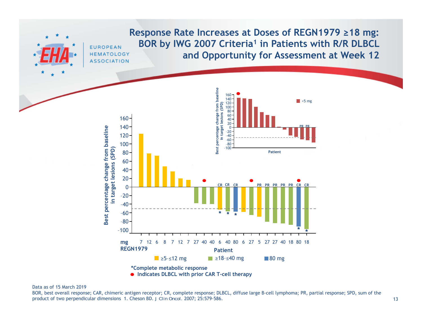

#### Data as of 15 March 2019

 BOR, best overall response; CAR, chimeric antigen receptor; CR, complete response; DLBCL, diffuse large B-cell lymphoma; PR, partial response; SPD, sum of the product of two perpendicular dimensions 1. Cheson BD. *J Clin Oncol.* 2007; 25:579-586.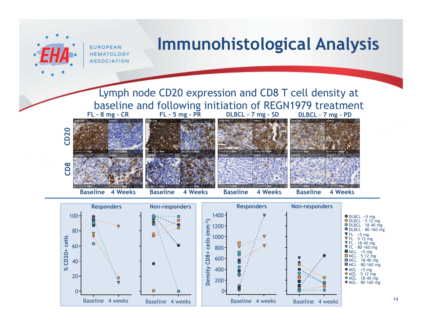



14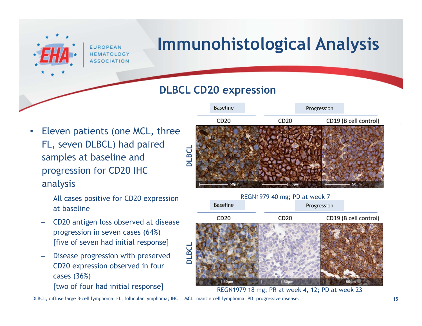**FUROPEAN HEMATOLOGY ASSOCIATION** 

# **Immunohistological Analysis**

## **DLBCL CD20 expression**

- • Eleven patients (one MCL, three FL, seven DLBCL) had paired samples at baseline and progression for CD20 IHC analysis
	- All cases positive for CD20 expression at baseline
	- ‒ CD20 antigen loss observed at disease progression in seven cases (64%) [five of seven had initial response]
	- Disease progression with preserved CD20 expression observed in four cases (36%) [two of four had initial response]





REGN1979 18 mg; PR at week 4, 12; PD at week 23

DLBCL, diffuse large B-cell lymphoma; FL, follicular lymphoma; IHC, ; MCL, mantle cell lymphoma; PD, progressive disease. 15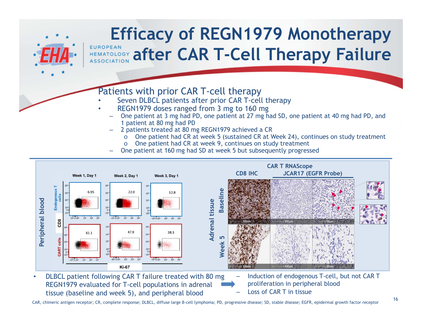## **Efficacy of REGN1979 Monotherapy**  EUROPEAN **AFMATOLOGY After CAR T-Cell Therapy Failure**

### Patients with prior CAR T-cell therapy

- •Seven DLBCL patients after prior CAR T-cell therapy
- • REGN1979 doses ranged from 3 mg to 160 mg
	- One patient at 3 mg had PD, one patient at 27 mg had SD, one patient at 40 mg had PD, and 1 patient at 80 mg had PD
	- 2 patients treated at 80 mg REGN1979 achieved a CR
		- oOne patient had CR at week 5 (sustained CR at Week 24), continues on study treatment
		- oOne patient had CR at week 9, continues on study treatment
	- One patient at 160 mg had SD at week 5 but subsequently progressed



• DLBCL patient following CAR T failure treated with 80 mg REGN1979 evaluated for T-cell populations in adrenal tissue (baseline and week 5), and peripheral blood

 Induction of endogenous T-cell, but not CAR T proliferation in peripheral blood Loss of CAR T in tissue

CAR, chimeric antigen receptor; CR, complete response; DLBCL, diffuse large B-cell lymphoma; PD, progressive disease; SD, stable disease; EGFR, epidermal growth factor receptor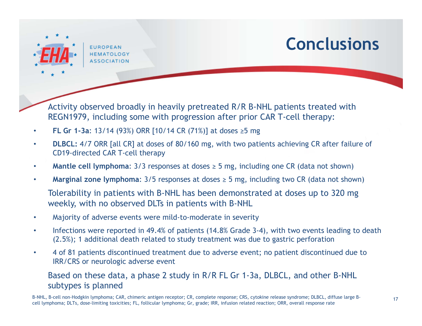**FUROPFAN HEMATOLOGY** 

# **Conclusions**

Activity observed broadly in heavily pretreated R/R B-NHL patients treated with REGN1979, including some with progression after prior CAR T-cell therapy:

- •**FL Gr 1-3a**: 13/14 (93%) ORR [10/14 CR (71%)] at doses ≥5 mg
- • **DLBCL:** 4/7 ORR [all CR] at doses of 80/160 mg, with two patients achieving CR after failure of CD19-directed CAR T-cell therapy
- •**Mantle cell lymphoma:**  $3/3$  responses at doses  $\geq 5$  mg, including one CR (data not shown)
- •**Marginal zone lymphoma:**  $3/5$  responses at doses  $\geq 5$  mg, including two CR (data not shown)

Tolerability in patients with B-NHL has been demonstrated at doses up to 320 mg weekly, with no observed DLTs in patients with B-NHL

- $\bullet$ Majority of adverse events were mild-to-moderate in severity
- • Infections were reported in 49.4% of patients (14.8% Grade 3-4), with two events leading to death (2.5%); 1 additional death related to study treatment was due to gastric perforation
- • 4 of 81 patients discontinued treatment due to adverse event; no patient discontinued due to IRR/CRS or neurologic adverse event

Based on these data, a phase 2 study in R/R FL Gr 1-3a, DLBCL, and other B-NHL subtypes is planned